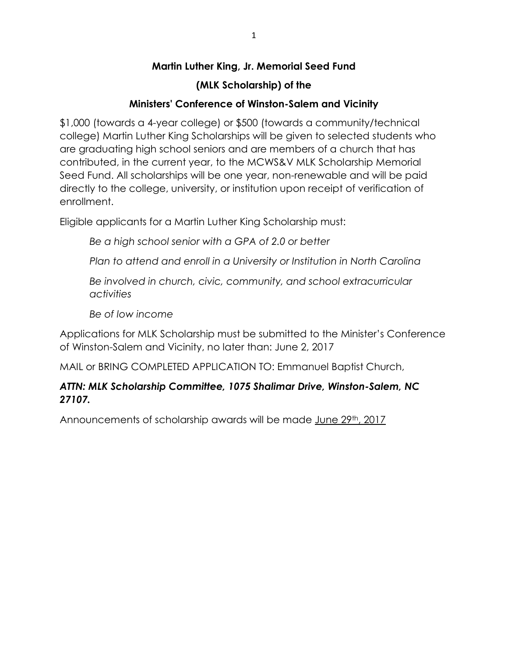## **Martin Luther King, Jr. Memorial Seed Fund**

# **(MLK Scholarship) of the**

## **Ministers' Conference of Winston-Salem and Vicinity**

\$1,000 (towards a 4-year college) or \$500 (towards a community/technical college) Martin Luther King Scholarships will be given to selected students who are graduating high school seniors and are members of a church that has contributed, in the current year, to the MCWS&V MLK Scholarship Memorial Seed Fund. All scholarships will be one year, non-renewable and will be paid directly to the college, university, or institution upon receipt of verification of enrollment.

Eligible applicants for a Martin Luther King Scholarship must:

*Be a high school senior with a GPA of 2.0 or better*

*Plan to attend and enroll in a University or Institution in North Carolina* 

*Be involved in church, civic, community, and school extracurricular activities*

*Be of low income*

Applications for MLK Scholarship must be submitted to the Minister's Conference of Winston-Salem and Vicinity, no later than: June 2, 2017

MAIL or BRING COMPLETED APPLICATION TO: Emmanuel Baptist Church,

### *ATTN: MLK Scholarship Committee, 1075 Shalimar Drive, Winston-Salem, NC 27107.*

Announcements of scholarship awards will be made June 29th, 2017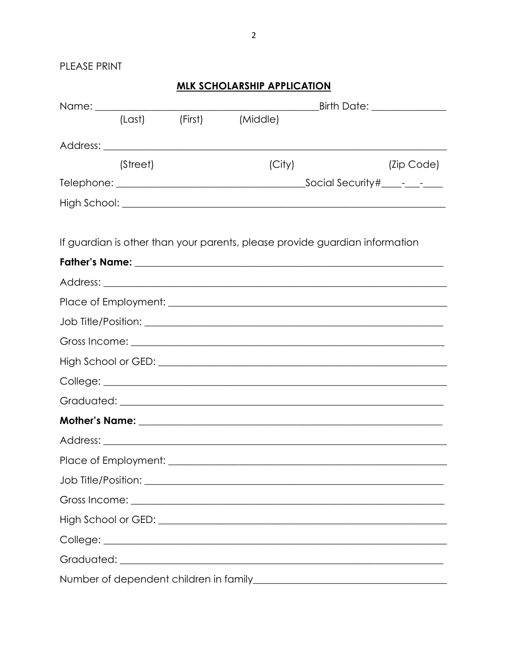PLEASE PRINT

#### **MLK SCHOLARSHIP APPLICATION**

|          | _Birth Date: _______________                                                |            |  |  |  |
|----------|-----------------------------------------------------------------------------|------------|--|--|--|
|          | (Last) (First) (Middle)                                                     |            |  |  |  |
|          |                                                                             |            |  |  |  |
| (Street) | (City)                                                                      | (Zip Code) |  |  |  |
|          | $\frac{1}{2}$ Social Security #                                             |            |  |  |  |
|          |                                                                             |            |  |  |  |
|          |                                                                             |            |  |  |  |
|          | If guardian is other than your parents, please provide guardian information |            |  |  |  |
|          |                                                                             |            |  |  |  |
|          |                                                                             |            |  |  |  |
|          |                                                                             |            |  |  |  |
|          |                                                                             |            |  |  |  |
|          |                                                                             |            |  |  |  |
|          |                                                                             |            |  |  |  |
|          |                                                                             |            |  |  |  |
|          |                                                                             |            |  |  |  |
|          |                                                                             |            |  |  |  |
|          |                                                                             |            |  |  |  |
|          |                                                                             |            |  |  |  |
|          |                                                                             |            |  |  |  |
|          |                                                                             |            |  |  |  |
|          |                                                                             |            |  |  |  |
|          |                                                                             |            |  |  |  |
|          |                                                                             |            |  |  |  |
|          |                                                                             |            |  |  |  |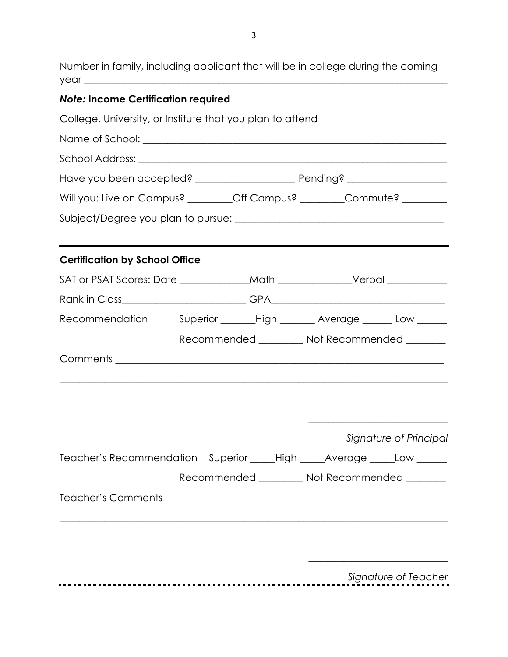Number in family, including applicant that will be in college during the coming year \_\_\_\_\_\_\_\_\_\_\_\_\_\_\_\_\_\_\_\_\_\_\_\_\_\_\_\_\_\_\_\_\_\_\_\_\_\_\_\_\_\_\_\_\_\_\_\_\_\_\_\_\_\_\_\_\_\_\_\_\_\_\_\_\_\_\_\_\_\_\_\_\_

| <b>Note: Income Certification required</b>                                                                                |  |  |  |  |  |  |                                               |
|---------------------------------------------------------------------------------------------------------------------------|--|--|--|--|--|--|-----------------------------------------------|
| College, University, or Institute that you plan to attend                                                                 |  |  |  |  |  |  |                                               |
|                                                                                                                           |  |  |  |  |  |  |                                               |
|                                                                                                                           |  |  |  |  |  |  |                                               |
|                                                                                                                           |  |  |  |  |  |  |                                               |
| Will you: Live on Campus? _________Off Campus? ________Commute? ________                                                  |  |  |  |  |  |  |                                               |
|                                                                                                                           |  |  |  |  |  |  |                                               |
| ,我们也不会有什么?""我们的人,我们也不会有什么?""我们的人,我们也不会有什么?""我们的人,我们也不会有什么?""我们的人,我们也不会有什么?""我们的人<br><b>Certification by School Office</b> |  |  |  |  |  |  |                                               |
| SAT or PSAT Scores: Date ________________Math __________________________________                                          |  |  |  |  |  |  |                                               |
|                                                                                                                           |  |  |  |  |  |  |                                               |
| Recommendation Superior ______High _______ Average ______ Low ______                                                      |  |  |  |  |  |  |                                               |
|                                                                                                                           |  |  |  |  |  |  | Recommended _________ Not Recommended _______ |
| <u> 1999 - Jan Barbara, Amerikaansk politiker (d. 1989)</u>                                                               |  |  |  |  |  |  |                                               |
|                                                                                                                           |  |  |  |  |  |  |                                               |
|                                                                                                                           |  |  |  |  |  |  | Signature of Principal                        |
| Teacher's Recommendation Superior ____High _____Average _____Low ______                                                   |  |  |  |  |  |  |                                               |
|                                                                                                                           |  |  |  |  |  |  | Recommended _________ Not Recommended _______ |
|                                                                                                                           |  |  |  |  |  |  |                                               |
|                                                                                                                           |  |  |  |  |  |  |                                               |
|                                                                                                                           |  |  |  |  |  |  |                                               |
|                                                                                                                           |  |  |  |  |  |  |                                               |

*Signature of Teacher*.............. ..............

\_\_\_\_\_\_\_\_\_\_\_\_\_\_\_\_\_\_\_\_\_\_\_\_\_\_\_\_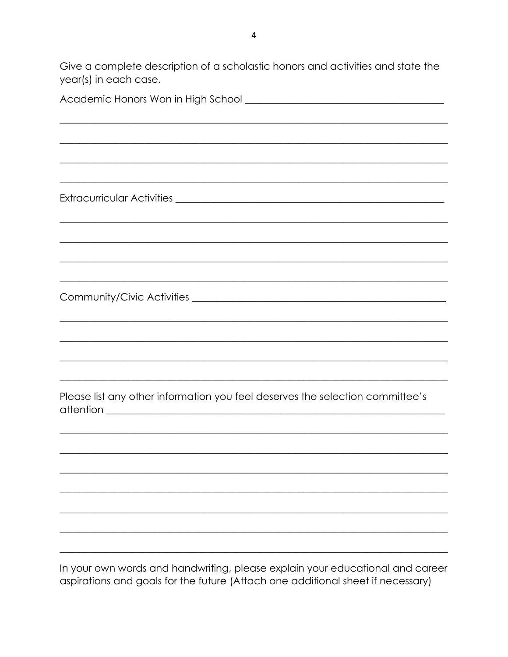Give a complete description of a scholastic honors and activities and state the year(s) in each case.

| <u> 1989 - Jan James James Barnett, amerikan bahasa (j. 1989).</u>            |
|-------------------------------------------------------------------------------|
|                                                                               |
|                                                                               |
| Please list any other information you feel deserves the selection committee's |
|                                                                               |
|                                                                               |
|                                                                               |
|                                                                               |
|                                                                               |
|                                                                               |
| In your own words and bandwriting places evolgin your aducational and career  |

In your own words and handwriting, please explain your educational and career aspirations and goals for the future (Attach one additional sheet if necessary)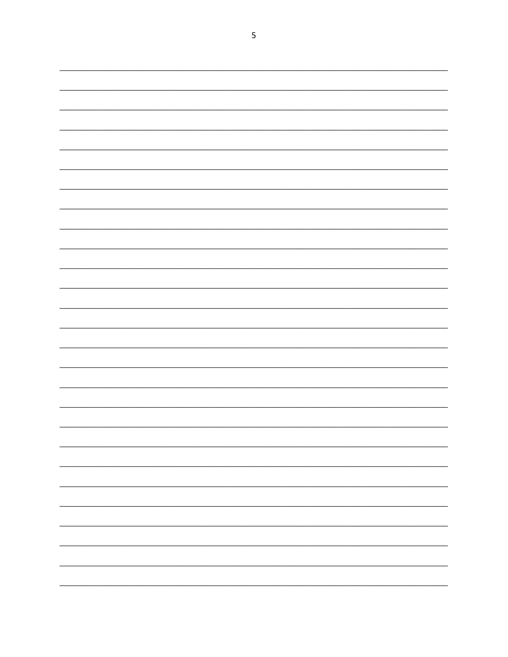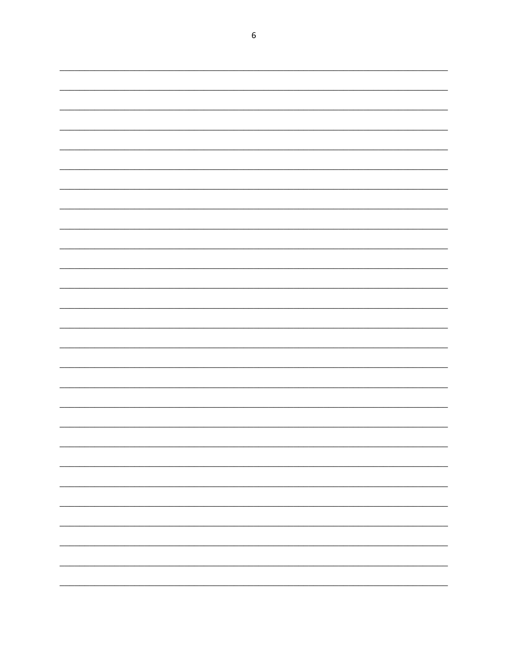

 $\boldsymbol{6}$